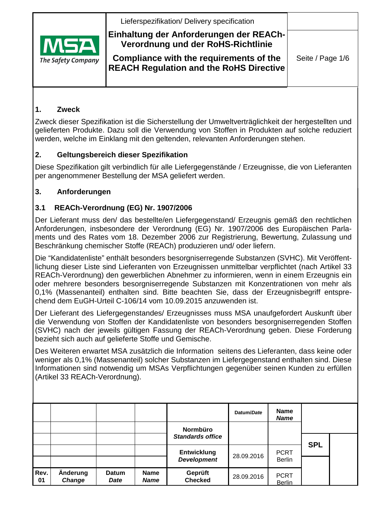Lieferspezifikation/ Delivery specification



# **Einhaltung der Anforderungen der REACh-Verordnung und der RoHS-Richtlinie**

**Compliance with the requirements of the REACH Regulation and the RoHS Directive**

### **1. Zweck**

Zweck dieser Spezifikation ist die Sicherstellung der Umweltverträglichkeit der hergestellten und gelieferten Produkte. Dazu soll die Verwendung von Stoffen in Produkten auf solche reduziert werden, welche im Einklang mit den geltenden, relevanten Anforderungen stehen.

### **2. Geltungsbereich dieser Spezifikation**

Diese Spezifikation gilt verbindlich für alle Liefergegenstände / Erzeugnisse, die von Lieferanten per angenommener Bestellung der MSA geliefert werden.

### **3. Anforderungen**

### **3.1 REACh-Verordnung (EG) Nr. 1907/2006**

Der Lieferant muss den/ das bestellte/en Liefergegenstand/ Erzeugnis gemäß den rechtlichen Anforderungen, insbesondere der Verordnung (EG) Nr. 1907/2006 des Europäischen Parlaments und des Rates vom 18. Dezember 2006 zur Registrierung, Bewertung, Zulassung und Beschränkung chemischer Stoffe (REACh) produzieren und/ oder liefern.

Die "Kandidatenliste" enthält besonders besorgniserregende Substanzen (SVHC). Mit Veröffentlichung dieser Liste sind Lieferanten von Erzeugnissen unmittelbar verpflichtet (nach Artikel 33 REACh-Verordnung) den gewerblichen Abnehmer zu informieren, wenn in einem Erzeugnis ein oder mehrere besonders besorgniserregende Substanzen mit Konzentrationen von mehr als 0,1% (Massenanteil) enthalten sind. Bitte beachten Sie, dass der Erzeugnisbegriff entsprechend dem EuGH-Urteil C-106/14 vom 10.09.2015 anzuwenden ist.

Der Lieferant des Liefergegenstandes/ Erzeugnisses muss MSA unaufgefordert Auskunft über die Verwendung von Stoffen der Kandidatenliste von besonders besorgniserregenden Stoffen (SVHC) nach der jeweils gültigen Fassung der REACh-Verordnung geben. Diese Forderung bezieht sich auch auf gelieferte Stoffe und Gemische.

Des Weiteren erwartet MSA zusätzlich die Information seitens des Lieferanten, dass keine oder weniger als 0,1% (Massenanteil) solcher Substanzen im Liefergegenstand enthalten sind. Diese Informationen sind notwendig um MSAs Verpflichtungen gegenüber seinen Kunden zu erfüllen (Artikel 33 REACh-Verordnung).

|            |                    |               |                            |                           | Datum/Date | <b>Name</b><br><b>Name</b>   |            |  |
|------------|--------------------|---------------|----------------------------|---------------------------|------------|------------------------------|------------|--|
|            |                    |               |                            | Normbüro                  |            |                              |            |  |
|            |                    |               |                            | <b>Standards office</b>   |            |                              | <b>SPL</b> |  |
|            |                    |               |                            | <b>Entwicklung</b>        | 28.09.2016 | <b>PCRT</b>                  |            |  |
|            |                    |               |                            | <b>Development</b>        |            | <b>Berlin</b>                |            |  |
| Rev.<br>01 | Änderung<br>Change | Datum<br>Date | <b>Name</b><br><b>Name</b> | Geprüft<br><b>Checked</b> | 28.09.2016 | <b>PCRT</b><br><b>Berlin</b> |            |  |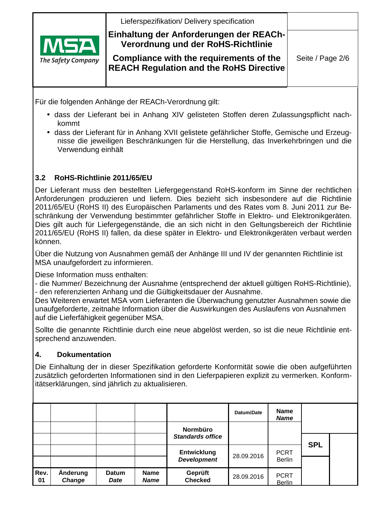

Für die folgenden Anhänge der REACh-Verordnung gilt:

- dass der Lieferant bei in Anhang XIV gelisteten Stoffen deren Zulassungspflicht nachkommt
- dass der Lieferant für in Anhang XVII gelistete gefährlicher Stoffe, Gemische und Erzeugnisse die jeweiligen Beschränkungen für die Herstellung, das Inverkehrbringen und die Verwendung einhält

### **3.2 RoHS-Richtlinie 2011/65/EU**

Der Lieferant muss den bestellten Liefergegenstand RoHS-konform im Sinne der rechtlichen Anforderungen produzieren und liefern. Dies bezieht sich insbesondere auf die Richtlinie 2011/65/EU (RoHS II) des Europäischen Parlaments und des Rates vom 8. Juni 2011 zur Beschränkung der Verwendung bestimmter gefährlicher Stoffe in Elektro- und Elektronikgeräten. Dies gilt auch für Liefergegenstände, die an sich nicht in den Geltungsbereich der Richtlinie 2011/65/EU (RoHS II) fallen, da diese später in Elektro- und Elektronikgeräten verbaut werden können.

Über die Nutzung von Ausnahmen gemäß der Anhänge III und IV der genannten Richtlinie ist MSA unaufgefordert zu informieren.

Diese Information muss enthalten:

- die Nummer/ Bezeichnung der Ausnahme (entsprechend der aktuell gültigen RoHS-Richtlinie), - den referenzierten Anhang und die Gültigkeitsdauer der Ausnahme.

Des Weiteren erwartet MSA vom Lieferanten die Überwachung genutzter Ausnahmen sowie die unaufgeforderte, zeitnahe Information über die Auswirkungen des Auslaufens von Ausnahmen auf die Lieferfähigkeit gegenüber MSA.

Sollte die genannte Richtlinie durch eine neue abgelöst werden, so ist die neue Richtlinie entsprechend anzuwenden.

#### **4. Dokumentation**

Die Einhaltung der in dieser Spezifikation geforderte Konformität sowie die oben aufgeführten zusätzlich geforderten Informationen sind in den Lieferpapieren explizit zu vermerken. Konformitätserklärungen, sind jährlich zu aktualisieren.

|            |                    |               |                            |                           | Datum/Date | <b>Name</b><br><b>Name</b>   |            |  |
|------------|--------------------|---------------|----------------------------|---------------------------|------------|------------------------------|------------|--|
|            |                    |               |                            | <b>Normbüro</b>           |            |                              |            |  |
|            |                    |               |                            | <b>Standards office</b>   |            |                              | <b>SPL</b> |  |
|            |                    |               |                            | <b>Entwicklung</b>        | 28.09.2016 | <b>PCRT</b>                  |            |  |
|            |                    |               |                            | <b>Development</b>        |            | <b>Berlin</b>                |            |  |
| Rev.<br>01 | Änderung<br>Change | Datum<br>Date | <b>Name</b><br><b>Name</b> | Geprüft<br><b>Checked</b> | 28.09.2016 | <b>PCRT</b><br><b>Berlin</b> |            |  |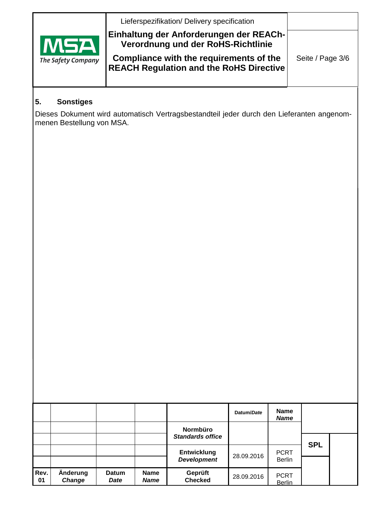|                                  | Lieferspezifikation/ Delivery specification                                                                              |                  |
|----------------------------------|--------------------------------------------------------------------------------------------------------------------------|------------------|
| <b>MSA</b><br>The Safety Company | Einhaltung der Anforderungen der REACh-<br>Verordnung und der RoHS-Richtlinie<br>Compliance with the requirements of the | Seite / Page 3/6 |
|                                  | <b>REACH Regulation and the RoHS Directive</b>                                                                           |                  |

# **5. Sonstiges**

Dieses Dokument wird automatisch Vertragsbestandteil jeder durch den Lieferanten angenommenen Bestellung von MSA.

|            |                    |                      |                            |                                            | Datum/Date | <b>Name</b><br><b>Name</b>   |            |  |
|------------|--------------------|----------------------|----------------------------|--------------------------------------------|------------|------------------------------|------------|--|
|            |                    |                      |                            | <b>Normbüro</b><br><b>Standards office</b> |            |                              |            |  |
|            |                    |                      |                            | <b>Entwicklung</b><br><b>Development</b>   | 28.09.2016 | <b>PCRT</b><br><b>Berlin</b> | <b>SPL</b> |  |
| Rev.<br>01 | Änderung<br>Change | <b>Datum</b><br>Date | <b>Name</b><br><b>Name</b> | Geprüft<br><b>Checked</b>                  | 28.09.2016 | <b>PCRT</b><br><b>Berlin</b> |            |  |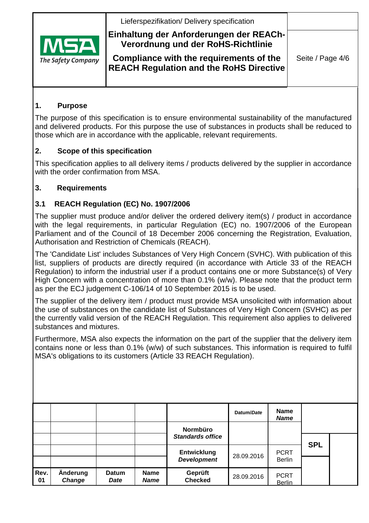Lieferspezifikation/ Delivery specification



# **Einhaltung der Anforderungen der REACh-Verordnung und der RoHS-Richtlinie**

**Compliance with the requirements of the REACH Regulation and the RoHS Directive**

### **1. Purpose**

The purpose of this specification is to ensure environmental sustainability of the manufactured and delivered products. For this purpose the use of substances in products shall be reduced to those which are in accordance with the applicable, relevant requirements.

# **2. Scope of this specification**

This specification applies to all delivery items / products delivered by the supplier in accordance with the order confirmation from MSA.

# **3. Requirements**

# **3.1 REACH Regulation (EC) No. 1907/2006**

The supplier must produce and/or deliver the ordered delivery item(s) / product in accordance with the legal requirements, in particular Regulation (EC) no. 1907/2006 of the European Parliament and of the Council of 18 December 2006 concerning the Registration, Evaluation, Authorisation and Restriction of Chemicals (REACH).

The 'Candidate List' includes Substances of Very High Concern (SVHC). With publication of this list, suppliers of products are directly required (in accordance with Article 33 of the REACH Regulation) to inform the industrial user if a product contains one or more Substance(s) of Very High Concern with a concentration of more than 0.1% (w/w). Please note that the product term as per the ECJ judgement C-106/14 of 10 September 2015 is to be used.

The supplier of the delivery item / product must provide MSA unsolicited with information about the use of substances on the candidate list of Substances of Very High Concern (SVHC) as per the currently valid version of the REACH Regulation. This requirement also applies to delivered substances and mixtures.

Furthermore, MSA also expects the information on the part of the supplier that the delivery item contains none or less than 0.1% (w/w) of such substances. This information is required to fulfil MSA's obligations to its customers (Article 33 REACH Regulation).

|            |                    |               |                            |                                          | Datum/Date | <b>Name</b><br><b>Name</b>   |            |  |
|------------|--------------------|---------------|----------------------------|------------------------------------------|------------|------------------------------|------------|--|
|            |                    |               |                            | Normbüro<br><b>Standards office</b>      |            |                              |            |  |
|            |                    |               |                            | <b>Entwicklung</b><br><b>Development</b> | 28.09.2016 | <b>PCRT</b><br><b>Berlin</b> | <b>SPL</b> |  |
| Rev.<br>01 | Änderung<br>Change | Datum<br>Date | <b>Name</b><br><b>Name</b> | Geprüft<br><b>Checked</b>                | 28.09.2016 | <b>PCRT</b><br><b>Berlin</b> |            |  |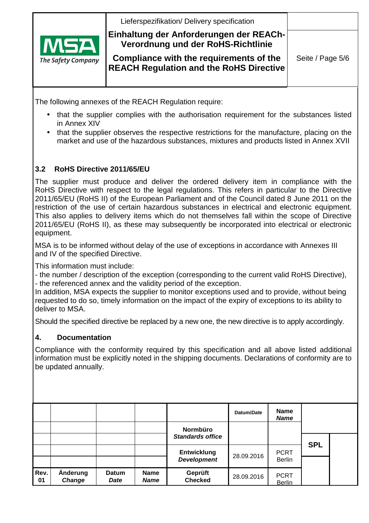

The Safety Company

**Einhaltung der Anforderungen der REACh-Verordnung und der RoHS-Richtlinie** 

**Compliance with the requirements of the REACH Regulation and the RoHS Directive**

The following annexes of the REACH Regulation require:

- that the supplier complies with the authorisation requirement for the substances listed in Annex XIV
- that the supplier observes the respective restrictions for the manufacture, placing on the market and use of the hazardous substances, mixtures and products listed in Annex XVII

### **3.2 RoHS Directive 2011/65/EU**

The supplier must produce and deliver the ordered delivery item in compliance with the RoHS Directive with respect to the legal regulations. This refers in particular to the Directive 2011/65/EU (RoHS II) of the European Parliament and of the Council dated 8 June 2011 on the restriction of the use of certain hazardous substances in electrical and electronic equipment. This also applies to delivery items which do not themselves fall within the scope of Directive 2011/65/EU (RoHS II), as these may subsequently be incorporated into electrical or electronic equipment.

MSA is to be informed without delay of the use of exceptions in accordance with Annexes III and IV of the specified Directive.

This information must include:

- the number / description of the exception (corresponding to the current valid RoHS Directive), - the referenced annex and the validity period of the exception.

In addition, MSA expects the supplier to monitor exceptions used and to provide, without being requested to do so, timely information on the impact of the expiry of exceptions to its ability to deliver to MSA.

Should the specified directive be replaced by a new one, the new directive is to apply accordingly.

#### **4. Documentation**

Compliance with the conformity required by this specification and all above listed additional information must be explicitly noted in the shipping documents. Declarations of conformity are to be updated annually.

|            |                           |               |                            | Normbüro                                 | Datum/Date | <b>Name</b><br><b>Name</b>   |            |  |
|------------|---------------------------|---------------|----------------------------|------------------------------------------|------------|------------------------------|------------|--|
|            |                           |               |                            | <b>Standards office</b>                  |            |                              |            |  |
|            |                           |               |                            | <b>Entwicklung</b><br><b>Development</b> | 28.09.2016 | <b>PCRT</b><br><b>Berlin</b> | <b>SPL</b> |  |
| Rev.<br>01 | Änderung<br><b>Change</b> | Datum<br>Date | <b>Name</b><br><b>Name</b> | Geprüft<br><b>Checked</b>                | 28.09.2016 | <b>PCRT</b><br><b>Berlin</b> |            |  |